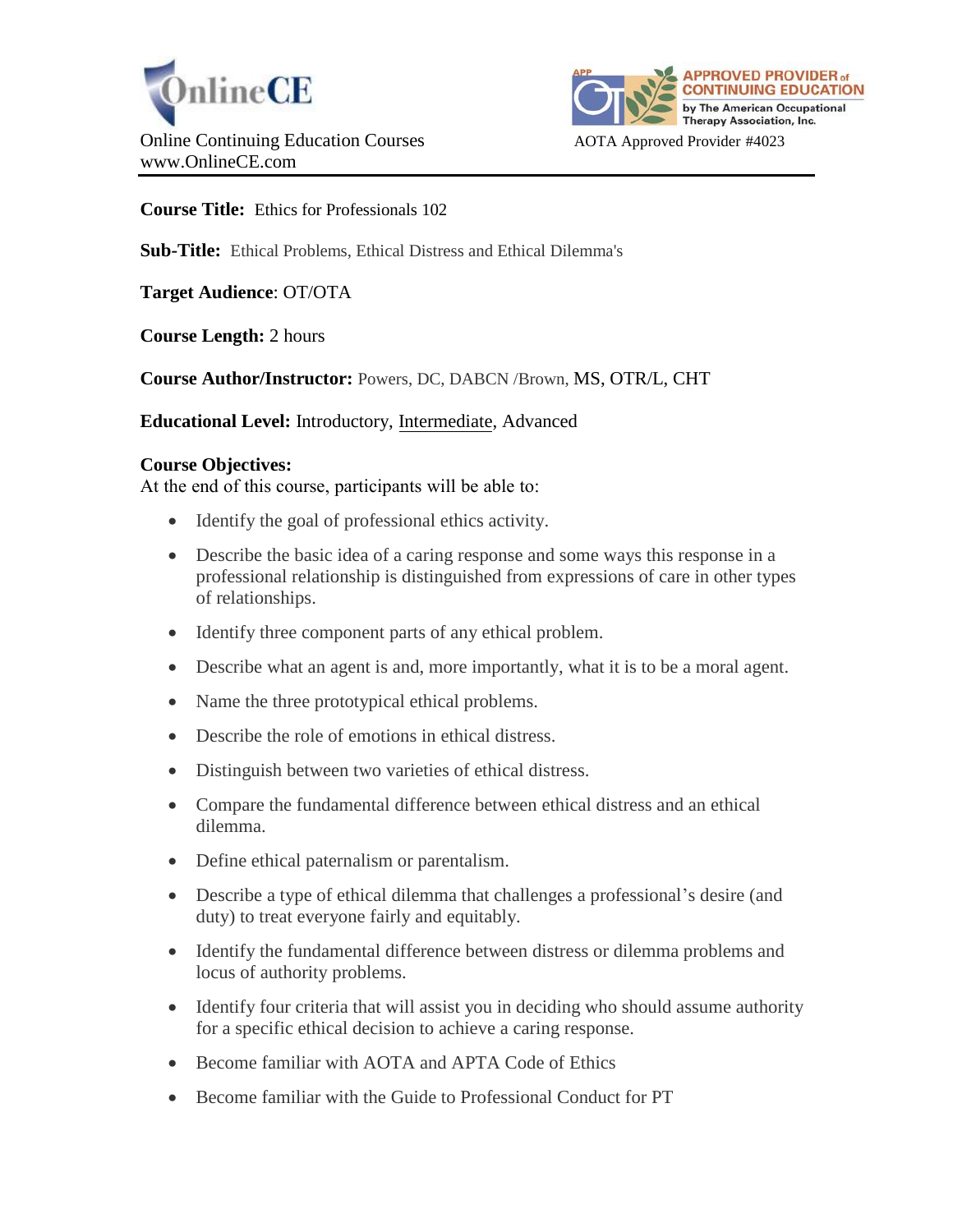



**Course Title:** Ethics for Professionals 102

**Sub-Title:** Ethical Problems, Ethical Distress and Ethical Dilemma's

**Target Audience**: OT/OTA

**Course Length:** 2 hours

**Course Author/Instructor:** Powers, DC, DABCN /Brown, MS, OTR/L, CHT

**Educational Level:** Introductory, Intermediate, Advanced

## **Course Objectives:**

At the end of this course, participants will be able to:

- Identify the goal of professional ethics activity.
- Describe the basic idea of a caring response and some ways this response in a professional relationship is distinguished from expressions of care in other types of relationships.
- Identify three component parts of any ethical problem.
- Describe what an agent is and, more importantly, what it is to be a moral agent.
- Name the three prototypical ethical problems.
- Describe the role of emotions in ethical distress.
- Distinguish between two varieties of ethical distress.
- Compare the fundamental difference between ethical distress and an ethical dilemma.
- Define ethical paternalism or parentalism.
- Describe a type of ethical dilemma that challenges a professional's desire (and duty) to treat everyone fairly and equitably.
- Identify the fundamental difference between distress or dilemma problems and locus of authority problems.
- Identify four criteria that will assist you in deciding who should assume authority for a specific ethical decision to achieve a caring response.
- Become familiar with AOTA and APTA Code of Ethics
- Become familiar with the Guide to Professional Conduct for PT